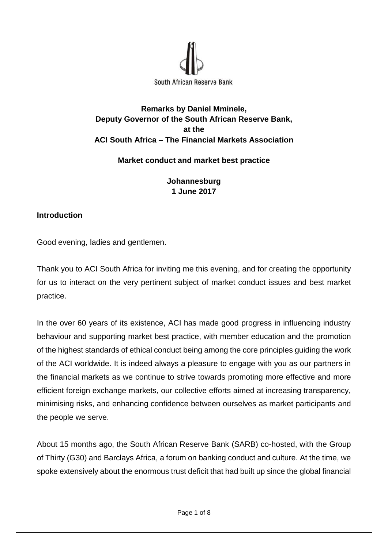

# **Remarks by Daniel Mminele, Deputy Governor of the South African Reserve Bank, at the ACI South Africa – The Financial Markets Association**

#### **Market conduct and market best practice**

**Johannesburg 1 June 2017**

### **Introduction**

Good evening, ladies and gentlemen.

Thank you to ACI South Africa for inviting me this evening, and for creating the opportunity for us to interact on the very pertinent subject of market conduct issues and best market practice.

In the over 60 years of its existence, ACI has made good progress in influencing industry behaviour and supporting market best practice, with member education and the promotion of the highest standards of ethical conduct being among the core principles guiding the work of the ACI worldwide. It is indeed always a pleasure to engage with you as our partners in the financial markets as we continue to strive towards promoting more effective and more efficient foreign exchange markets, our collective efforts aimed at increasing transparency, minimising risks, and enhancing confidence between ourselves as market participants and the people we serve.

About 15 months ago, the South African Reserve Bank (SARB) co-hosted, with the Group of Thirty (G30) and Barclays Africa, a forum on banking conduct and culture. At the time, we spoke extensively about the enormous trust deficit that had built up since the global financial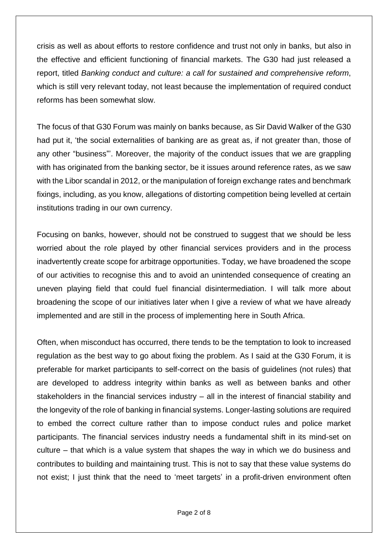crisis as well as about efforts to restore confidence and trust not only in banks, but also in the effective and efficient functioning of financial markets. The G30 had just released a report, titled *Banking conduct and culture: a call for sustained and comprehensive reform*, which is still very relevant today, not least because the implementation of required conduct reforms has been somewhat slow.

The focus of that G30 Forum was mainly on banks because, as Sir David Walker of the G30 had put it, 'the social externalities of banking are as great as, if not greater than, those of any other "business"'. Moreover, the majority of the conduct issues that we are grappling with has originated from the banking sector, be it issues around reference rates, as we saw with the Libor scandal in 2012, or the manipulation of foreign exchange rates and benchmark fixings, including, as you know, allegations of distorting competition being levelled at certain institutions trading in our own currency.

Focusing on banks, however, should not be construed to suggest that we should be less worried about the role played by other financial services providers and in the process inadvertently create scope for arbitrage opportunities. Today, we have broadened the scope of our activities to recognise this and to avoid an unintended consequence of creating an uneven playing field that could fuel financial disintermediation. I will talk more about broadening the scope of our initiatives later when I give a review of what we have already implemented and are still in the process of implementing here in South Africa.

Often, when misconduct has occurred, there tends to be the temptation to look to increased regulation as the best way to go about fixing the problem. As I said at the G30 Forum, it is preferable for market participants to self-correct on the basis of guidelines (not rules) that are developed to address integrity within banks as well as between banks and other stakeholders in the financial services industry – all in the interest of financial stability and the longevity of the role of banking in financial systems. Longer-lasting solutions are required to embed the correct culture rather than to impose conduct rules and police market participants. The financial services industry needs a fundamental shift in its mind-set on culture – that which is a value system that shapes the way in which we do business and contributes to building and maintaining trust. This is not to say that these value systems do not exist; I just think that the need to 'meet targets' in a profit-driven environment often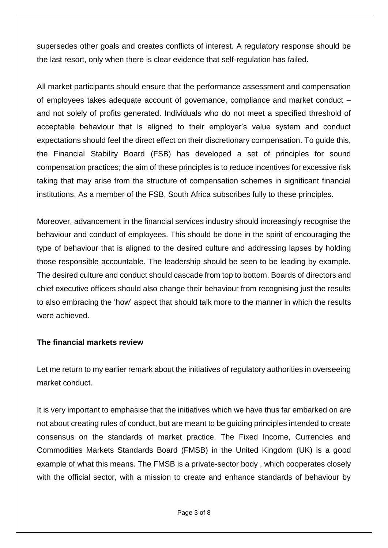supersedes other goals and creates conflicts of interest. A regulatory response should be the last resort, only when there is clear evidence that self-regulation has failed.

All market participants should ensure that the performance assessment and compensation of employees takes adequate account of governance, compliance and market conduct – and not solely of profits generated. Individuals who do not meet a specified threshold of acceptable behaviour that is aligned to their employer's value system and conduct expectations should feel the direct effect on their discretionary compensation. To guide this, the Financial Stability Board (FSB) has developed a set of principles for sound compensation practices; the aim of these principles is to reduce incentives for excessive risk taking that may arise from the structure of compensation schemes in significant financial institutions. As a member of the FSB, South Africa subscribes fully to these principles.

Moreover, advancement in the financial services industry should increasingly recognise the behaviour and conduct of employees. This should be done in the spirit of encouraging the type of behaviour that is aligned to the desired culture and addressing lapses by holding those responsible accountable. The leadership should be seen to be leading by example. The desired culture and conduct should cascade from top to bottom. Boards of directors and chief executive officers should also change their behaviour from recognising just the results to also embracing the 'how' aspect that should talk more to the manner in which the results were achieved.

#### **The financial markets review**

Let me return to my earlier remark about the initiatives of regulatory authorities in overseeing market conduct.

It is very important to emphasise that the initiatives which we have thus far embarked on are not about creating rules of conduct, but are meant to be guiding principles intended to create consensus on the standards of market practice. The Fixed Income, Currencies and Commodities Markets Standards Board (FMSB) in the United Kingdom (UK) is a good example of what this means. The FMSB is a private-sector body , which cooperates closely with the official sector, with a mission to create and enhance standards of behaviour by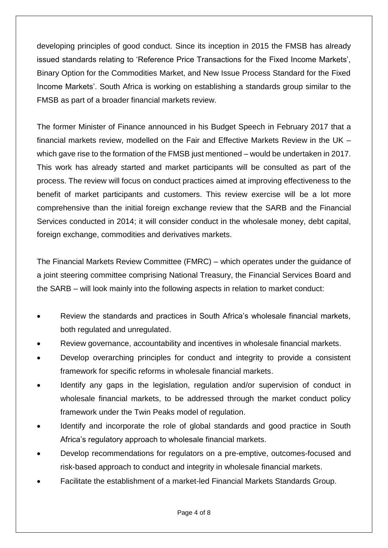developing principles of good conduct. Since its inception in 2015 the FMSB has already issued standards relating to 'Reference Price Transactions for the Fixed Income Markets', Binary Option for the Commodities Market, and New Issue Process Standard for the Fixed Income Markets'. South Africa is working on establishing a standards group similar to the FMSB as part of a broader financial markets review.

The former Minister of Finance announced in his Budget Speech in February 2017 that a financial markets review, modelled on the Fair and Effective Markets Review in the UK – which gave rise to the formation of the FMSB just mentioned – would be undertaken in 2017. This work has already started and market participants will be consulted as part of the process. The review will focus on conduct practices aimed at improving effectiveness to the benefit of market participants and customers. This review exercise will be a lot more comprehensive than the initial foreign exchange review that the SARB and the Financial Services conducted in 2014; it will consider conduct in the wholesale money, debt capital, foreign exchange, commodities and derivatives markets.

The Financial Markets Review Committee (FMRC) – which operates under the guidance of a joint steering committee comprising National Treasury, the Financial Services Board and the SARB – will look mainly into the following aspects in relation to market conduct:

- Review the standards and practices in South Africa's wholesale financial markets, both regulated and unregulated.
- Review governance, accountability and incentives in wholesale financial markets.
- Develop overarching principles for conduct and integrity to provide a consistent framework for specific reforms in wholesale financial markets.
- Identify any gaps in the legislation, regulation and/or supervision of conduct in wholesale financial markets, to be addressed through the market conduct policy framework under the Twin Peaks model of regulation.
- Identify and incorporate the role of global standards and good practice in South Africa's regulatory approach to wholesale financial markets.
- Develop recommendations for regulators on a pre-emptive, outcomes-focused and risk-based approach to conduct and integrity in wholesale financial markets.
- Facilitate the establishment of a market-led Financial Markets Standards Group.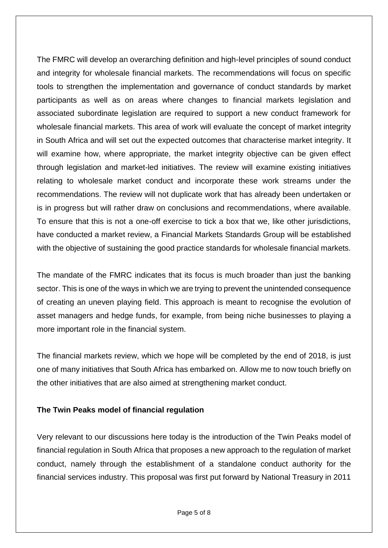The FMRC will develop an overarching definition and high-level principles of sound conduct and integrity for wholesale financial markets. The recommendations will focus on specific tools to strengthen the implementation and governance of conduct standards by market participants as well as on areas where changes to financial markets legislation and associated subordinate legislation are required to support a new conduct framework for wholesale financial markets. This area of work will evaluate the concept of market integrity in South Africa and will set out the expected outcomes that characterise market integrity. It will examine how, where appropriate, the market integrity objective can be given effect through legislation and market-led initiatives. The review will examine existing initiatives relating to wholesale market conduct and incorporate these work streams under the recommendations. The review will not duplicate work that has already been undertaken or is in progress but will rather draw on conclusions and recommendations, where available. To ensure that this is not a one-off exercise to tick a box that we, like other jurisdictions, have conducted a market review, a Financial Markets Standards Group will be established with the objective of sustaining the good practice standards for wholesale financial markets.

The mandate of the FMRC indicates that its focus is much broader than just the banking sector. This is one of the ways in which we are trying to prevent the unintended consequence of creating an uneven playing field. This approach is meant to recognise the evolution of asset managers and hedge funds, for example, from being niche businesses to playing a more important role in the financial system.

The financial markets review, which we hope will be completed by the end of 2018, is just one of many initiatives that South Africa has embarked on. Allow me to now touch briefly on the other initiatives that are also aimed at strengthening market conduct.

#### **The Twin Peaks model of financial regulation**

Very relevant to our discussions here today is the introduction of the Twin Peaks model of financial regulation in South Africa that proposes a new approach to the regulation of market conduct, namely through the establishment of a standalone conduct authority for the financial services industry. This proposal was first put forward by National Treasury in 2011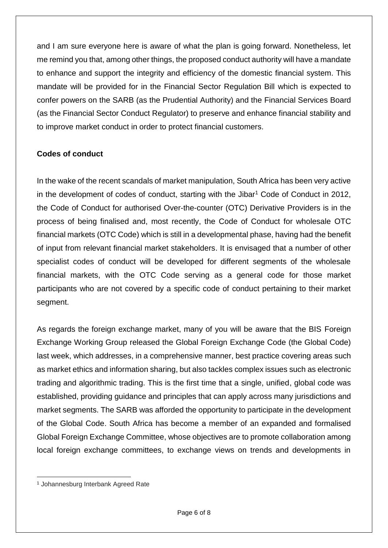and I am sure everyone here is aware of what the plan is going forward. Nonetheless, let me remind you that, among other things, the proposed conduct authority will have a mandate to enhance and support the integrity and efficiency of the domestic financial system. This mandate will be provided for in the Financial Sector Regulation Bill which is expected to confer powers on the SARB (as the Prudential Authority) and the Financial Services Board (as the Financial Sector Conduct Regulator) to preserve and enhance financial stability and to improve market conduct in order to protect financial customers.

## **Codes of conduct**

In the wake of the recent scandals of market manipulation, South Africa has been very active in the development of codes of conduct, starting with the Jibar<sup>1</sup> Code of Conduct in 2012, the Code of Conduct for authorised Over-the-counter (OTC) Derivative Providers is in the process of being finalised and, most recently, the Code of Conduct for wholesale OTC financial markets (OTC Code) which is still in a developmental phase, having had the benefit of input from relevant financial market stakeholders. It is envisaged that a number of other specialist codes of conduct will be developed for different segments of the wholesale financial markets, with the OTC Code serving as a general code for those market participants who are not covered by a specific code of conduct pertaining to their market segment.

As regards the foreign exchange market, many of you will be aware that the BIS Foreign Exchange Working Group released the Global Foreign Exchange Code (the Global Code) last week, which addresses, in a comprehensive manner, best practice covering areas such as market ethics and information sharing, but also tackles complex issues such as electronic trading and algorithmic trading. This is the first time that a single, unified, global code was established, providing guidance and principles that can apply across many jurisdictions and market segments. The SARB was afforded the opportunity to participate in the development of the Global Code. South Africa has become a member of an expanded and formalised Global Foreign Exchange Committee, whose objectives are to promote collaboration among local foreign exchange committees, to exchange views on trends and developments in

**.** 

<sup>1</sup> Johannesburg Interbank Agreed Rate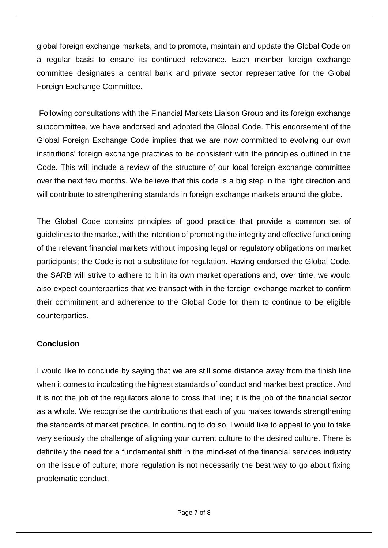global foreign exchange markets, and to promote, maintain and update the Global Code on a regular basis to ensure its continued relevance. Each member foreign exchange committee designates a central bank and private sector representative for the Global Foreign Exchange Committee.

Following consultations with the Financial Markets Liaison Group and its foreign exchange subcommittee, we have endorsed and adopted the Global Code. This endorsement of the Global Foreign Exchange Code implies that we are now committed to evolving our own institutions' foreign exchange practices to be consistent with the principles outlined in the Code. This will include a review of the structure of our local foreign exchange committee over the next few months. We believe that this code is a big step in the right direction and will contribute to strengthening standards in foreign exchange markets around the globe.

The Global Code contains principles of good practice that provide a common set of guidelines to the market, with the intention of promoting the integrity and effective functioning of the relevant financial markets without imposing legal or regulatory obligations on market participants; the Code is not a substitute for regulation. Having endorsed the Global Code, the SARB will strive to adhere to it in its own market operations and, over time, we would also expect counterparties that we transact with in the foreign exchange market to confirm their commitment and adherence to the Global Code for them to continue to be eligible counterparties.

#### **Conclusion**

I would like to conclude by saying that we are still some distance away from the finish line when it comes to inculcating the highest standards of conduct and market best practice. And it is not the job of the regulators alone to cross that line; it is the job of the financial sector as a whole. We recognise the contributions that each of you makes towards strengthening the standards of market practice. In continuing to do so, I would like to appeal to you to take very seriously the challenge of aligning your current culture to the desired culture. There is definitely the need for a fundamental shift in the mind-set of the financial services industry on the issue of culture; more regulation is not necessarily the best way to go about fixing problematic conduct.